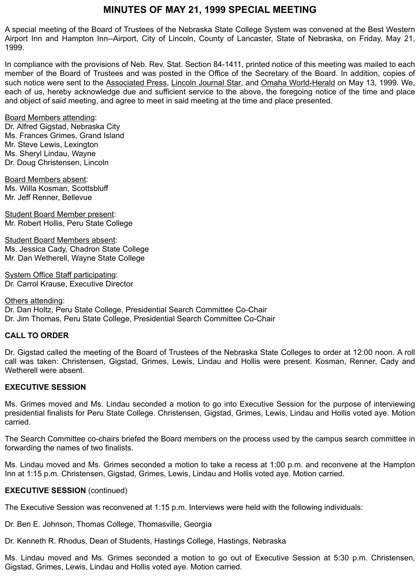# **MINUTES OF MAY 21, 1999 SPECIAL MEETING**

A special meeting of the Board of Trustees of the Nebraska State College System was convened at the Best Western Airport Inn and Hampton Inn--Airport, City of Lincoln, County of Lancaster, State of Nebraska, on Friday, May 21, 1999.

In compliance with the provisions of Neb. Rev. Stat. Section 84-1411, printed notice of this meeting was mailed to each member of the Board of Trustees and was posted in the Office of the Secretary of the Board. In addition, copies of such notice were sent to the Associated Press, Lincoln Journal Star, and Omaha World-Herald on May 13, 1999. We, each of us, hereby acknowledge due and sufficient service to the above, the foregoing notice of the time and place and object of said meeting, and agree to meet in said meeting at the time and place presented.

#### Board Members attending:

Dr. Alfred Gigstad, Nebraska City Ms. Frances Grimes, Grand Island Mr. Steve Lewis, Lexington Ms. Sheryl Lindau, Wayne Dr. Doug Christensen, Lincoln

Board Members absent: Ms. Willa Kosman, Scottsbluff Mr. Jeff Renner, Bellevue

Student Board Member present: Mr. Robert Hollis, Peru State College

Student Board Members absent: Ms. Jessica Cady, Chadron State College Mr. Dan Wetherell, Wayne State College

System Office Staff participating: Dr. Carrol Krause, Executive Director

### Others attending: Dr. Dan Holtz, Peru State College, Presidential Search Committee Co-Chair Dr. Jim Thomas, Peru State College, Presidential Search Committee Co-Chair

## **CALL TO ORDER**

Dr. Gigstad called the meeting of the Board of Trustees of the Nebraska State Colleges to order at 12:00 noon. A roll call was taken: Christensen, Gigstad, Grimes, Lewis, Lindau and Hollis were present. Kosman, Renner, Cady and Wetherell were absent.

## **EXECUTIVE SESSION**

Ms. Grimes moved and Ms. Lindau seconded a motion to go into Executive Session for the purpose of interviewing presidential finalists for Peru State College. Christensen, Gigstad, Grimes, Lewis, Lindau and Hollis voted aye. Motion carried.

The Search Committee co-chairs briefed the Board members on the process used by the campus search committee in forwarding the names of two finalists.

Ms. Lindau moved and Ms. Grimes seconded a motion to take a recess at 1:00 p.m. and reconvene at the Hampton Inn at 1:15 p.m. Christensen, Gigstad, Grimes, Lewis, Lindau and Hollis voted aye. Motion carried.

#### **EXECUTIVE SESSION** (continued)

The Executive Session was reconvened at 1:15 p.m. Interviews were held with the following individuals:

Dr. Ben E. Johnson, Thomas College, Thomasville, Georgia

Dr. Kenneth R. Rhodus, Dean of Students, Hastings College, Hastings, Nebraska

Ms. Lindau moved and Ms. Grimes seconded a motion to go out of Executive Session at 5:30 p.m. Christensen, Gigstad, Grimes, Lewis, Lindau and Hollis voted aye. Motion carried.